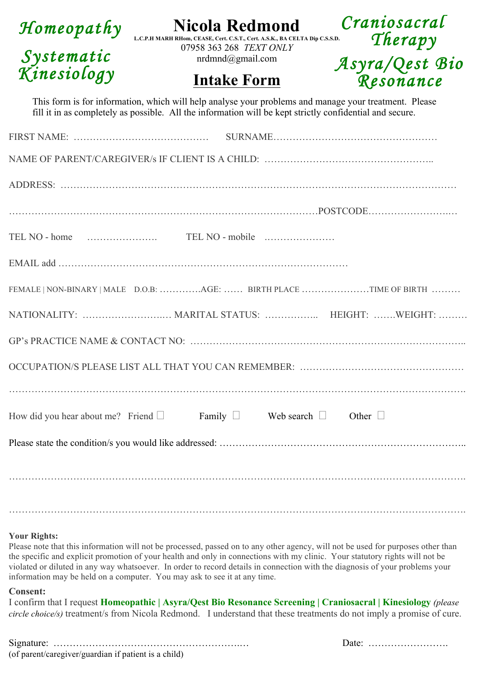| Homeopathy                | <b>Nicola Redmond</b>                                                                                                           | Craniosacral              |  |
|---------------------------|---------------------------------------------------------------------------------------------------------------------------------|---------------------------|--|
| Systematic<br>Kinesiology | L.C.P.H MARH RHom, CEASE, Cert. C.S.T., Cert. A.S.K., BA CELTA Dip C.S.S.D.<br>07958 363 268 TEXT ONLY<br>$nrdmnd(a)$ gmail.com | Therapy<br>Asyra/Qest Bio |  |
|                           | <b>Intake Form</b>                                                                                                              | Resonance                 |  |

fill it in as completely as possible. All the information will be kept strictly confidential and secure. This form is for information, which will help analyse your problems and manage your treatment. Please

|                                                                                       | FEMALE   NON-BINARY   MALE D.O.B: AGE:  BIRTH PLACE TIME OF BIRTH |
|---------------------------------------------------------------------------------------|-------------------------------------------------------------------|
|                                                                                       |                                                                   |
|                                                                                       |                                                                   |
|                                                                                       |                                                                   |
|                                                                                       |                                                                   |
| How did you hear about me? Friend $\Box$ Family $\Box$ Web search $\Box$ Other $\Box$ |                                                                   |
|                                                                                       |                                                                   |
|                                                                                       |                                                                   |
|                                                                                       |                                                                   |
|                                                                                       |                                                                   |

#### **Your Rights:**

Please note that this information will not be processed, passed on to any other agency, will not be used for purposes other than the specific and explicit promotion of your health and only in connections with my clinic. Your statutory rights will not be violated or diluted in any way whatsoever. In order to record details in connection with the diagnosis of your problems your information may be held on a computer. You may ask to see it at any time.

#### **Consent:**

I confirm that I request **Homeopathic | Asyra/Qest Bio Resonance Screening | Craniosacral | Kinesiology** *(please circle choice/s)* treatment/s from Nicola Redmond. I understand that these treatments do not imply a promise of cure.

Signature: ………………………………………………….… Date: ……………………. (of parent/caregiver/guardian if patient is a child)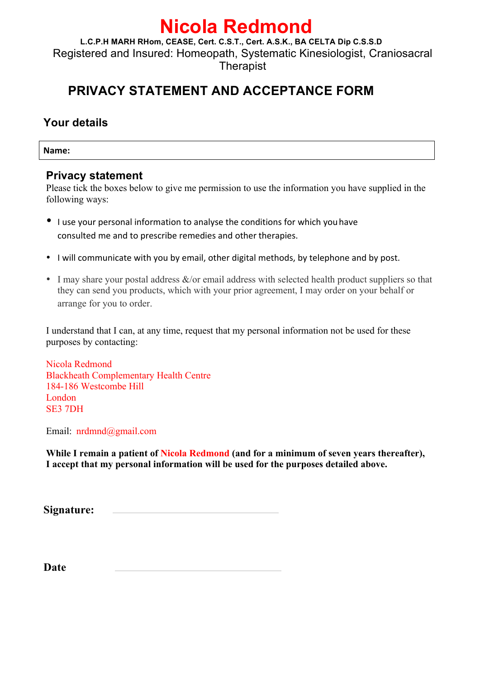# **Nicola Redmond**

**L.C.P.H MARH RHom, CEASE, Cert. C.S.T., Cert. A.S.K., BA CELTA Dip C.S.S.D** Registered and Insured: Homeopath, Systematic Kinesiologist, Craniosacral **Therapist** 

# **PRIVACY STATEMENT AND ACCEPTANCE FORM**

# **Your details**

**Name:**

## **Privacy statement**

Please tick the boxes below to give me permission to use the information you have supplied in the following ways:

- I use your personal information to analyse the conditions for which you have consulted me and to prescribe remedies and other therapies.
- I will communicate with you by email, other digital methods, by telephone and by post.
- I may share your postal address  $&\&/$  or email address with selected health product suppliers so that they can send you products, which with your prior agreement, I may order on your behalf or arrange for you to order.

I understand that I can, at any time, request that my personal information not be used for these purposes by contacting:

Nicola Redmond Blackheath Complementary Health Centre 184-186 Westcombe Hill London SE3 7DH

Email: nrdmnd@gmail.com

**While I remain a patient of Nicola Redmond (and for a minimum of seven years thereafter), I accept that my personal information will be used for the purposes detailed above.**

**Signature:** 

**Date**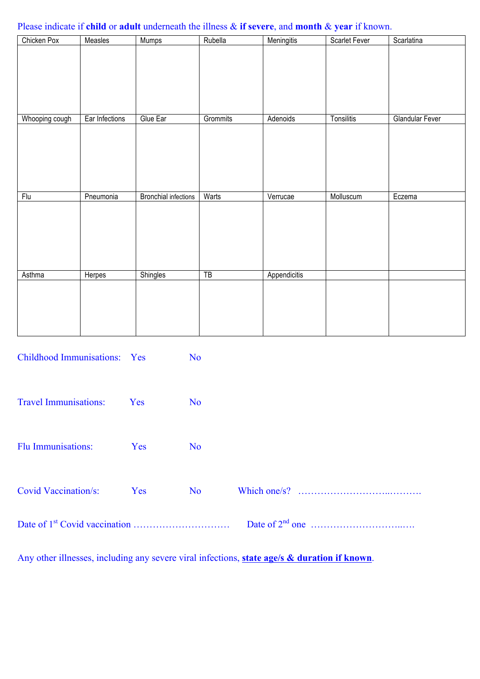### Please indicate if **child** or **adult** underneath the illness & **if severe**, and **month** & **year** if known.

| Chicken Pox                                           | Measles                                   | <b>Mumps</b>                | Rubella         | Meningitis   | <b>Scarlet Fever</b> | Scarlatina             |  |
|-------------------------------------------------------|-------------------------------------------|-----------------------------|-----------------|--------------|----------------------|------------------------|--|
|                                                       |                                           |                             |                 |              |                      |                        |  |
|                                                       |                                           |                             |                 |              |                      |                        |  |
|                                                       |                                           |                             |                 |              |                      |                        |  |
|                                                       |                                           |                             |                 |              |                      |                        |  |
|                                                       |                                           |                             |                 |              |                      |                        |  |
| Whooping cough                                        | Ear Infections                            | Glue Ear                    | Grommits        | Adenoids     | Tonsilitis           | <b>Glandular Fever</b> |  |
|                                                       |                                           |                             |                 |              |                      |                        |  |
|                                                       |                                           |                             |                 |              |                      |                        |  |
|                                                       |                                           |                             |                 |              |                      |                        |  |
|                                                       |                                           |                             |                 |              |                      |                        |  |
|                                                       |                                           |                             |                 |              |                      |                        |  |
|                                                       |                                           |                             |                 |              |                      |                        |  |
| Flu                                                   | Pneumonia                                 | <b>Bronchial infections</b> | Warts           | Verrucae     | Molluscum            | Eczema                 |  |
|                                                       |                                           |                             |                 |              |                      |                        |  |
|                                                       |                                           |                             |                 |              |                      |                        |  |
|                                                       |                                           |                             |                 |              |                      |                        |  |
|                                                       |                                           |                             |                 |              |                      |                        |  |
|                                                       |                                           |                             |                 |              |                      |                        |  |
| Asthma                                                | Herpes                                    | <b>Shingles</b>             | $\overline{TB}$ | Appendicitis |                      |                        |  |
|                                                       |                                           |                             |                 |              |                      |                        |  |
|                                                       |                                           |                             |                 |              |                      |                        |  |
|                                                       |                                           |                             |                 |              |                      |                        |  |
|                                                       |                                           |                             |                 |              |                      |                        |  |
|                                                       |                                           |                             |                 |              |                      |                        |  |
|                                                       |                                           |                             |                 |              |                      |                        |  |
|                                                       | Childhood Immunisations: Yes<br><b>No</b> |                             |                 |              |                      |                        |  |
|                                                       |                                           |                             |                 |              |                      |                        |  |
|                                                       |                                           |                             |                 |              |                      |                        |  |
|                                                       |                                           |                             |                 |              |                      |                        |  |
| <b>Travel Immunisations:</b><br>N <sub>o</sub><br>Yes |                                           |                             |                 |              |                      |                        |  |
|                                                       |                                           |                             |                 |              |                      |                        |  |

Flu Immunisations: Yes No

Covid Vaccination/s: Yes No Which one/s? ………………………..……….

Date of 1st Covid vaccination ………………………… Date of 2nd one ………………………..….

Any other illnesses, including any severe viral infections, **state age/s & duration if known**.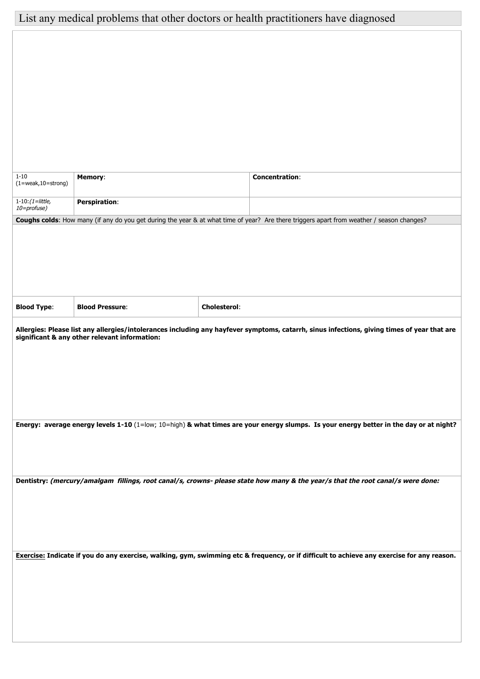# List any medical problems that other doctors or health practitioners have diagnosed

| $1 - 10$<br>$(1=weak,10=strong)$         | <b>Memory:</b>                                |                     | <b>Concentration:</b>                                                                                                                       |
|------------------------------------------|-----------------------------------------------|---------------------|---------------------------------------------------------------------------------------------------------------------------------------------|
| $1 - 10$ : $(1 =$ little,<br>10=profuse) | <b>Perspiration:</b>                          |                     |                                                                                                                                             |
|                                          |                                               |                     | Coughs colds: How many (if any do you get during the year & at what time of year? Are there triggers apart from weather / season changes?   |
|                                          |                                               |                     |                                                                                                                                             |
|                                          |                                               |                     |                                                                                                                                             |
|                                          |                                               |                     |                                                                                                                                             |
| <b>Blood Type:</b>                       | <b>Blood Pressure:</b>                        | <b>Cholesterol:</b> |                                                                                                                                             |
|                                          | significant & any other relevant information: |                     | Allergies: Please list any allergies/intolerances including any hayfever symptoms, catarrh, sinus infections, giving times of year that are |
|                                          |                                               |                     |                                                                                                                                             |
|                                          |                                               |                     |                                                                                                                                             |
|                                          |                                               |                     |                                                                                                                                             |
|                                          |                                               |                     | Energy: average energy levels 1-10 (1=low; 10=high) & what times are your energy slumps. Is your energy better in the day or at night?      |
|                                          |                                               |                     |                                                                                                                                             |
|                                          |                                               |                     |                                                                                                                                             |
|                                          |                                               |                     | Dentistry: (mercury/amalgam fillings, root canal/s, crowns- please state how many & the year/s that the root canal/s were done:             |
|                                          |                                               |                     |                                                                                                                                             |
|                                          |                                               |                     |                                                                                                                                             |
|                                          |                                               |                     | Exercise: Indicate if you do any exercise, walking, gym, swimming etc & frequency, or if difficult to achieve any exercise for any reason.  |
|                                          |                                               |                     |                                                                                                                                             |
|                                          |                                               |                     |                                                                                                                                             |
|                                          |                                               |                     |                                                                                                                                             |
|                                          |                                               |                     |                                                                                                                                             |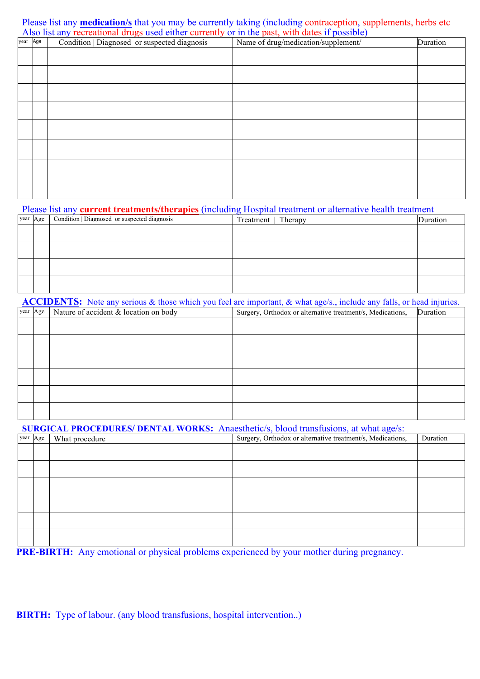Also list any recreational drugs used either currently or in the past, with dates if possible)<br> **Rational Condition** Disenseed or supported disenses and Name of drug/medication/supplement/ Please list any **medication/s** that you may be currently taking (including contraception, supplements, herbs etc

| year Age | Condition   Diagnosed or suspected diagnosis | Name of drug/medication/supplement/ | Duration |
|----------|----------------------------------------------|-------------------------------------|----------|
|          |                                              |                                     |          |
|          |                                              |                                     |          |
|          |                                              |                                     |          |
|          |                                              |                                     |          |
|          |                                              |                                     |          |
|          |                                              |                                     |          |
|          |                                              |                                     |          |
|          |                                              |                                     |          |

#### Please list any **current treatments/therapies** (including Hospital treatment or alternative health treatment

|  | year Age   Condition   Diagnosed or suspected diagnosis | Treatment   Therapy | Duration |
|--|---------------------------------------------------------|---------------------|----------|
|  |                                                         |                     |          |
|  |                                                         |                     |          |
|  |                                                         |                     |          |
|  |                                                         |                     |          |

**ACCIDENTS:** Note any serious & those which you feel are important, & what age/s., include any falls, or head injuries.

| year Age | Nature of accident & location on body | Surgery, Orthodox or alternative treatment/s, Medications, | Duration |
|----------|---------------------------------------|------------------------------------------------------------|----------|
|          |                                       |                                                            |          |
|          |                                       |                                                            |          |
|          |                                       |                                                            |          |
|          |                                       |                                                            |          |
|          |                                       |                                                            |          |
|          |                                       |                                                            |          |
|          |                                       |                                                            |          |

**SURGICAL PROCEDURES/ DENTAL WORKS:** Anaesthetic/s, blood transfusions, at what age/s:

| year Age | What procedure | Surgery, Orthodox or alternative treatment/s, Medications, | Duration |
|----------|----------------|------------------------------------------------------------|----------|
|          |                |                                                            |          |
|          |                |                                                            |          |
|          |                |                                                            |          |
|          |                |                                                            |          |
|          |                |                                                            |          |
|          |                |                                                            |          |
|          |                |                                                            |          |

**PRE-BIRTH:** Any emotional or physical problems experienced by your mother during pregnancy.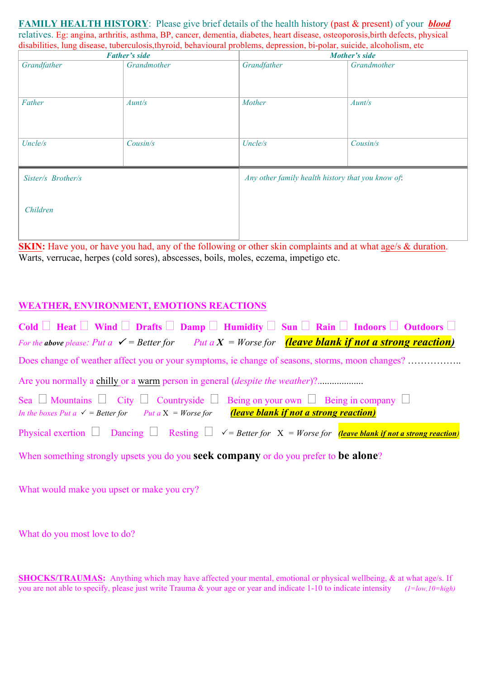**FAMILY HEALTH HISTORY**: Please give brief details of the health history (past & present) of your *blood* relatives. Eg: angina, arthritis, asthma, BP, cancer, dementia, diabetes, heart disease, osteoporosis,birth defects, physical disabilities, lung disease, tuberculosis,thyroid, behavioural problems, depression, bi-polar, suicide, alcoholism, etc

| <b>Father's side</b> |                     | Mother's side                                     |             |  |
|----------------------|---------------------|---------------------------------------------------|-------------|--|
| Grandfather          | Grandmother         | Grandfather                                       | Grandmother |  |
| Father               | Mother<br>$A$ unt/s |                                                   | Aunt/s      |  |
| Uncle/s              | Cousin/s            | Uncle/s                                           | Cousin/s    |  |
| Sister/s Brother/s   |                     | Any other family health history that you know of. |             |  |
| Children             |                     |                                                   |             |  |

**SKIN:** Have you, or have you had, any of the following or other skin complaints and at what age/s & duration. Warts, verrucae, herpes (cold sores), abscesses, boils, moles, eczema, impetigo etc.

### **WEATHER, ENVIRONMENT, EMOTIONS REACTIONS**

| Cold $\Box$ Heat $\Box$ Wind $\Box$ Drafts $\Box$ Damp $\Box$ Humidity $\Box$ Sun $\Box$ Rain $\Box$ Indoors $\Box$ Outdoors $\Box$                                                                                                 |
|-------------------------------------------------------------------------------------------------------------------------------------------------------------------------------------------------------------------------------------|
| For the above please: Put a $\checkmark$ = Better for Put a X = Worse for <b>(leave blank if not a strong reaction)</b>                                                                                                             |
| Does change of weather affect you or your symptoms, ie change of seasons, storms, moon changes?                                                                                                                                     |
|                                                                                                                                                                                                                                     |
| Sea $\Box$ Mountains $\Box$ City $\Box$ Countryside $\Box$ Being on your own $\Box$ Being in company $\Box$<br><i>(leave blank if not a strong reaction)</i><br>In the boxes Put $a \checkmark$ = Better for Put $a X = W$ orse for |
| Physical exertion $\Box$ Dancing $\Box$ Resting $\Box$ $\angle$ = Better for X = Worse for <b>(leave blank if not a strong reaction)</b>                                                                                            |
| When something strongly upsets you do you seek company or do you prefer to be alone?                                                                                                                                                |

What would make you upset or make you cry?

What do you most love to do?

**SHOCKS/TRAUMAS:** Anything which may have affected your mental, emotional or physical wellbeing, & at what age/s. If you are not able to specify, please just write Trauma & your age or year and indicate 1-10 to indicate intensity *(1=low,10=high)*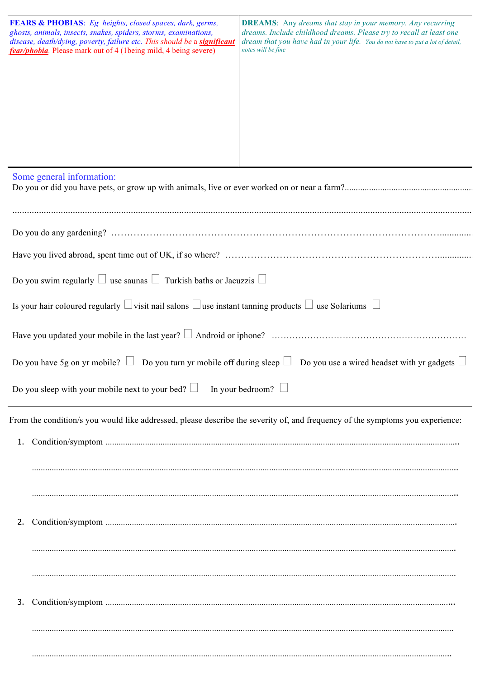|    | FEARS & PHOBIAS: Eg heights, closed spaces, dark, germs,<br>ghosts, animals, insects, snakes, spiders, storms, examinations,<br>disease, death/dying, poverty, failure etc. This should be a significant<br>fear/phobia. Please mark out of 4 (1being mild, 4 being severe) | <b>DREAMS:</b> Any dreams that stay in your memory. Any recurring<br>dreams. Include childhood dreams. Please try to recall at least one<br>dream that you have had in your life. You do not have to put a lot of detail,<br>notes will be fine |
|----|-----------------------------------------------------------------------------------------------------------------------------------------------------------------------------------------------------------------------------------------------------------------------------|-------------------------------------------------------------------------------------------------------------------------------------------------------------------------------------------------------------------------------------------------|
|    | Some general information:                                                                                                                                                                                                                                                   |                                                                                                                                                                                                                                                 |
|    |                                                                                                                                                                                                                                                                             |                                                                                                                                                                                                                                                 |
|    |                                                                                                                                                                                                                                                                             |                                                                                                                                                                                                                                                 |
|    |                                                                                                                                                                                                                                                                             |                                                                                                                                                                                                                                                 |
|    | Do you swim regularly $\Box$ use saunas $\Box$ Turkish baths or Jacuzzis $\Box$                                                                                                                                                                                             |                                                                                                                                                                                                                                                 |
|    | Is your hair coloured regularly $\Box$ visit nail salons $\Box$ use instant tanning products $\Box$ use Solariums $\Box$                                                                                                                                                    |                                                                                                                                                                                                                                                 |
|    |                                                                                                                                                                                                                                                                             |                                                                                                                                                                                                                                                 |
|    |                                                                                                                                                                                                                                                                             | Do you have 5g on yr mobile? $\Box$ Do you turn yr mobile off during sleep $\Box$ Do you use a wired headset with yr gadgets $\Box$                                                                                                             |
|    | Do you sleep with your mobile next to your bed? $\Box$                                                                                                                                                                                                                      | In your bedroom?                                                                                                                                                                                                                                |
|    |                                                                                                                                                                                                                                                                             | From the condition/s you would like addressed, please describe the severity of, and frequency of the symptoms you experience:                                                                                                                   |
|    |                                                                                                                                                                                                                                                                             |                                                                                                                                                                                                                                                 |
|    |                                                                                                                                                                                                                                                                             |                                                                                                                                                                                                                                                 |
|    |                                                                                                                                                                                                                                                                             |                                                                                                                                                                                                                                                 |
| 2. |                                                                                                                                                                                                                                                                             |                                                                                                                                                                                                                                                 |
|    |                                                                                                                                                                                                                                                                             |                                                                                                                                                                                                                                                 |
|    |                                                                                                                                                                                                                                                                             |                                                                                                                                                                                                                                                 |
|    |                                                                                                                                                                                                                                                                             |                                                                                                                                                                                                                                                 |
| 3. |                                                                                                                                                                                                                                                                             |                                                                                                                                                                                                                                                 |
|    |                                                                                                                                                                                                                                                                             |                                                                                                                                                                                                                                                 |
|    |                                                                                                                                                                                                                                                                             |                                                                                                                                                                                                                                                 |